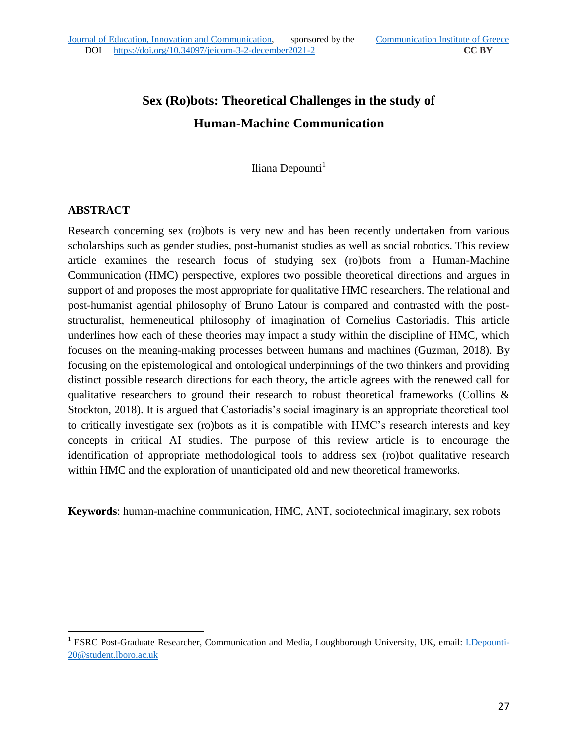# **Sex (Ro)bots: Theoretical Challenges in the study of Human-Machine Communication**

Iliana Depounti<sup>1</sup>

### **ABSTRACT**

 $\overline{a}$ 

Research concerning sex (ro)bots is very new and has been recently undertaken from various scholarships such as gender studies, post-humanist studies as well as social robotics. This review article examines the research focus of studying sex (ro)bots from a Human-Machine Communication (HMC) perspective, explores two possible theoretical directions and argues in support of and proposes the most appropriate for qualitative HMC researchers. The relational and post-humanist agential philosophy of Bruno Latour is compared and contrasted with the poststructuralist, hermeneutical philosophy of imagination of Cornelius Castoriadis. This article underlines how each of these theories may impact a study within the discipline of HMC, which focuses on the meaning-making processes between humans and machines (Guzman, 2018). By focusing on the epistemological and ontological underpinnings of the two thinkers and providing distinct possible research directions for each theory, the article agrees with the renewed call for qualitative researchers to ground their research to robust theoretical frameworks (Collins & Stockton, 2018). It is argued that Castoriadis's social imaginary is an appropriate theoretical tool to critically investigate sex (ro)bots as it is compatible with HMC's research interests and key concepts in critical AI studies. The purpose of this review article is to encourage the identification of appropriate methodological tools to address sex (ro)bot qualitative research within HMC and the exploration of unanticipated old and new theoretical frameworks.

**Keywords**: human-machine communication, HMC, ANT, sociotechnical imaginary, sex robots

<sup>&</sup>lt;sup>1</sup> ESRC Post-Graduate Researcher, Communication and Media, Loughborough University, UK, email: *I.Depounti-*[20@student.lboro.ac.uk](mailto:I.Depounti-20@student.lboro.ac.uk)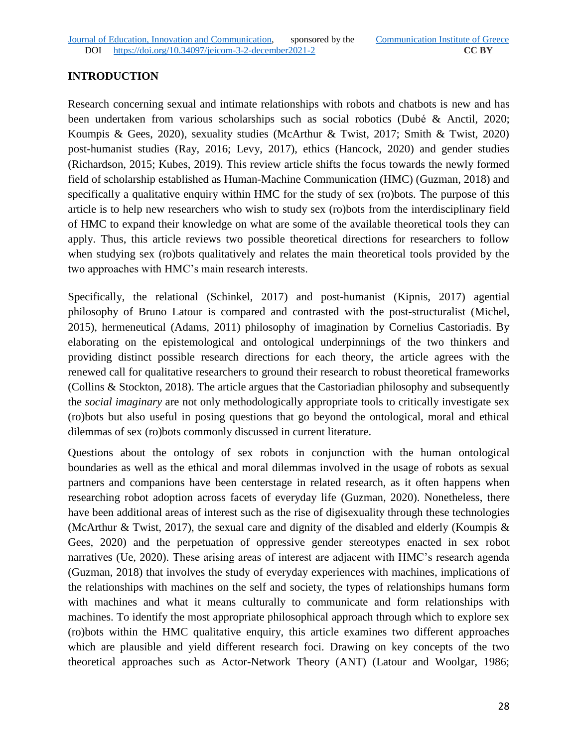## **INTRODUCTION**

Research concerning sexual and intimate relationships with robots and chatbots is new and has been undertaken from various scholarships such as social robotics (Dubé & Anctil, 2020; Koumpis & Gees, 2020), sexuality studies (McArthur & Twist, 2017; Smith & Twist, 2020) post-humanist studies (Ray, 2016; Levy, 2017), ethics (Hancock, 2020) and gender studies (Richardson, 2015; Kubes, 2019). This review article shifts the focus towards the newly formed field of scholarship established as Human-Machine Communication (HMC) (Guzman, 2018) and specifically a qualitative enquiry within HMC for the study of sex (ro)bots. The purpose of this article is to help new researchers who wish to study sex (ro)bots from the interdisciplinary field of HMC to expand their knowledge on what are some of the available theoretical tools they can apply. Thus, this article reviews two possible theoretical directions for researchers to follow when studying sex (ro)bots qualitatively and relates the main theoretical tools provided by the two approaches with HMC's main research interests.

Specifically, the relational (Schinkel, 2017) and post-humanist (Kipnis, 2017) agential philosophy of Bruno Latour is compared and contrasted with the post-structuralist (Michel, 2015), hermeneutical (Adams, 2011) philosophy of imagination by Cornelius Castoriadis. By elaborating on the epistemological and ontological underpinnings of the two thinkers and providing distinct possible research directions for each theory, the article agrees with the renewed call for qualitative researchers to ground their research to robust theoretical frameworks (Collins & Stockton, 2018). The article argues that the Castoriadian philosophy and subsequently the *social imaginary* are not only methodologically appropriate tools to critically investigate sex (ro)bots but also useful in posing questions that go beyond the ontological, moral and ethical dilemmas of sex (ro)bots commonly discussed in current literature.

Questions about the ontology of sex robots in conjunction with the human ontological boundaries as well as the ethical and moral dilemmas involved in the usage of robots as sexual partners and companions have been centerstage in related research, as it often happens when researching robot adoption across facets of everyday life (Guzman, 2020). Nonetheless, there have been additional areas of interest such as the rise of digisexuality through these technologies (McArthur & Twist, 2017), the sexual care and dignity of the disabled and elderly (Koumpis  $\&$ Gees, 2020) and the perpetuation of oppressive gender stereotypes enacted in sex robot narratives (Ue, 2020). These arising areas of interest are adjacent with HMC's research agenda (Guzman, 2018) that involves the study of everyday experiences with machines, implications of the relationships with machines on the self and society, the types of relationships humans form with machines and what it means culturally to communicate and form relationships with machines. To identify the most appropriate philosophical approach through which to explore sex (ro)bots within the HMC qualitative enquiry, this article examines two different approaches which are plausible and yield different research foci. Drawing on key concepts of the two theoretical approaches such as Actor-Network Theory (ANT) (Latour and Woolgar, 1986;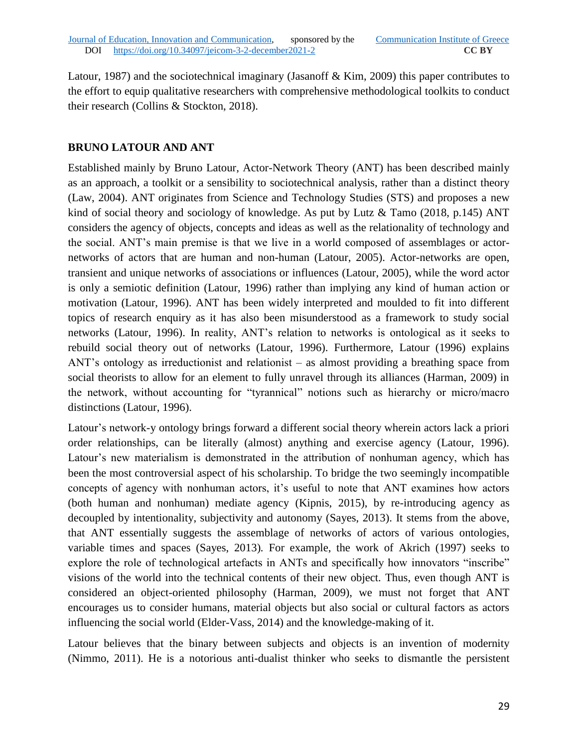Latour, 1987) and the sociotechnical imaginary (Jasanoff & Kim, 2009) this paper contributes to the effort to equip qualitative researchers with comprehensive methodological toolkits to conduct their research (Collins & Stockton, 2018).

## **BRUNO LATOUR AND ANT**

Established mainly by Bruno Latour, Actor-Network Theory (ANT) has been described mainly as an approach, a toolkit or a sensibility to sociotechnical analysis, rather than a distinct theory (Law, 2004). ANT originates from Science and Technology Studies (STS) and proposes a new kind of social theory and sociology of knowledge. As put by Lutz & Tamo (2018, p.145) ANT considers the agency of objects, concepts and ideas as well as the relationality of technology and the social. ANT's main premise is that we live in a world composed of assemblages or actornetworks of actors that are human and non-human (Latour, 2005). Actor-networks are open, transient and unique networks of associations or influences (Latour, 2005), while the word actor is only a semiotic definition (Latour, 1996) rather than implying any kind of human action or motivation (Latour, 1996). ANT has been widely interpreted and moulded to fit into different topics of research enquiry as it has also been misunderstood as a framework to study social networks (Latour, 1996). In reality, ANT's relation to networks is ontological as it seeks to rebuild social theory out of networks (Latour, 1996). Furthermore, Latour (1996) explains ANT's ontology as irreductionist and relationist – as almost providing a breathing space from social theorists to allow for an element to fully unravel through its alliances (Harman, 2009) in the network, without accounting for "tyrannical" notions such as hierarchy or micro/macro distinctions (Latour, 1996).

Latour's network-y ontology brings forward a different social theory wherein actors lack a priori order relationships, can be literally (almost) anything and exercise agency (Latour, 1996). Latour's new materialism is demonstrated in the attribution of nonhuman agency, which has been the most controversial aspect of his scholarship. To bridge the two seemingly incompatible concepts of agency with nonhuman actors, it's useful to note that ANT examines how actors (both human and nonhuman) mediate agency (Kipnis, 2015), by re-introducing agency as decoupled by intentionality, subjectivity and autonomy (Sayes, 2013). It stems from the above, that ANT essentially suggests the assemblage of networks of actors of various ontologies, variable times and spaces (Sayes, 2013)*.* For example, the work of Akrich (1997) seeks to explore the role of technological artefacts in ANTs and specifically how innovators "inscribe" visions of the world into the technical contents of their new object*.* Thus, even though ANT is considered an object-oriented philosophy (Harman, 2009), we must not forget that ANT encourages us to consider humans, material objects but also social or cultural factors as actors influencing the social world (Elder-Vass, 2014) and the knowledge-making of it.

Latour believes that the binary between subjects and objects is an invention of modernity (Nimmo, 2011). He is a notorious anti-dualist thinker who seeks to dismantle the persistent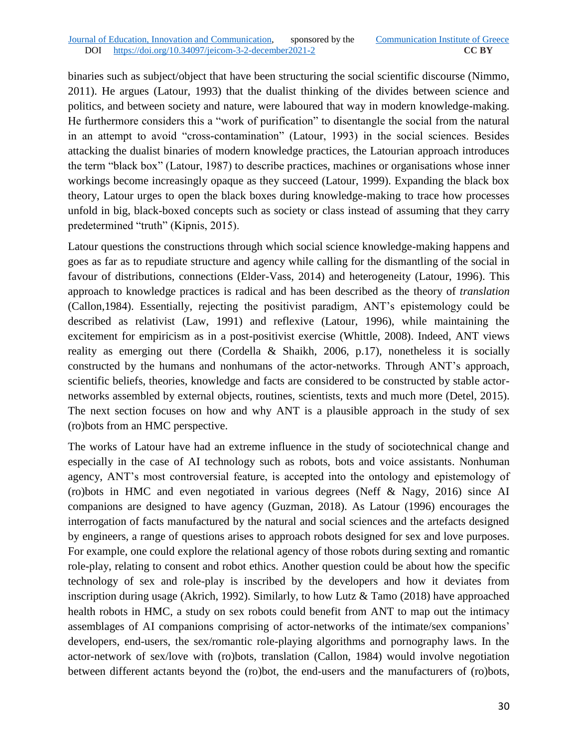binaries such as subject/object that have been structuring the social scientific discourse (Nimmo, 2011). He argues (Latour, 1993) that the dualist thinking of the divides between science and politics, and between society and nature, were laboured that way in modern knowledge-making. He furthermore considers this a "work of purification" to disentangle the social from the natural in an attempt to avoid "cross-contamination" (Latour, 1993) in the social sciences. Besides attacking the dualist binaries of modern knowledge practices, the Latourian approach introduces the term "black box" (Latour, 1987) to describe practices, machines or organisations whose inner workings become increasingly opaque as they succeed (Latour, 1999). Expanding the black box theory, Latour urges to open the black boxes during knowledge-making to trace how processes unfold in big, black-boxed concepts such as society or class instead of assuming that they carry predetermined "truth" (Kipnis, 2015).

Latour questions the constructions through which social science knowledge-making happens and goes as far as to repudiate structure and agency while calling for the dismantling of the social in favour of distributions, connections (Elder-Vass, 2014) and heterogeneity (Latour, 1996). This approach to knowledge practices is radical and has been described as the theory of *translation* (Callon,1984). Essentially, rejecting the positivist paradigm, ANT's epistemology could be described as relativist (Law, 1991) and reflexive (Latour, 1996), while maintaining the excitement for empiricism as in a post-positivist exercise (Whittle, 2008). Indeed, ANT views reality as emerging out there (Cordella & Shaikh, 2006, p.17), nonetheless it is socially constructed by the humans and nonhumans of the actor-networks. Through ANT's approach, scientific beliefs, theories, knowledge and facts are considered to be constructed by stable actornetworks assembled by external objects, routines, scientists, texts and much more (Detel, 2015). The next section focuses on how and why ANT is a plausible approach in the study of sex (ro)bots from an HMC perspective.

The works of Latour have had an extreme influence in the study of sociotechnical change and especially in the case of AI technology such as robots, bots and voice assistants. Nonhuman agency, ANT's most controversial feature, is accepted into the ontology and epistemology of (ro)bots in HMC and even negotiated in various degrees (Neff & Nagy, 2016) since AI companions are designed to have agency (Guzman, 2018). As Latour (1996) encourages the interrogation of facts manufactured by the natural and social sciences and the artefacts designed by engineers, a range of questions arises to approach robots designed for sex and love purposes. For example, one could explore the relational agency of those robots during sexting and romantic role-play, relating to consent and robot ethics. Another question could be about how the specific technology of sex and role-play is inscribed by the developers and how it deviates from inscription during usage (Akrich, 1992). Similarly, to how Lutz & Tamo (2018) have approached health robots in HMC, a study on sex robots could benefit from ANT to map out the intimacy assemblages of AI companions comprising of actor-networks of the intimate/sex companions' developers, end-users, the sex/romantic role-playing algorithms and pornography laws. In the actor-network of sex/love with (ro)bots, translation (Callon, 1984) would involve negotiation between different actants beyond the (ro)bot, the end-users and the manufacturers of (ro)bots,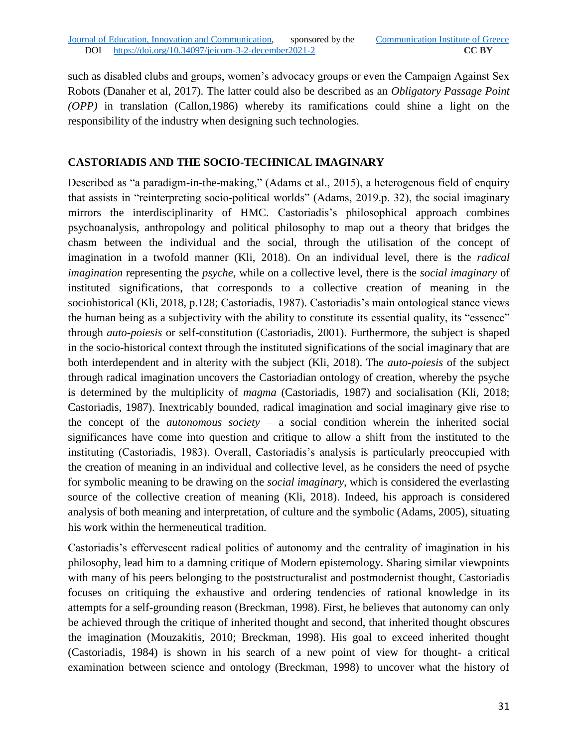such as disabled clubs and groups, women's advocacy groups or even the Campaign Against Sex Robots (Danaher et al, 2017). The latter could also be described as an *Obligatory Passage Point (OPP)* in translation (Callon,1986) whereby its ramifications could shine a light on the responsibility of the industry when designing such technologies.

### **CASTORIADIS AND THE SOCIO-TECHNICAL IMAGINARY**

Described as "a paradigm-in-the-making," (Adams et al., 2015), a heterogenous field of enquiry that assists in "reinterpreting socio-political worlds" (Adams, 2019.p. 32), the social imaginary mirrors the interdisciplinarity of HMC. Castoriadis's philosophical approach combines psychoanalysis, anthropology and political philosophy to map out a theory that bridges the chasm between the individual and the social, through the utilisation of the concept of imagination in a twofold manner (Kli, 2018). On an individual level, there is the *radical imagination* representing the *psyche*, while on a collective level, there is the *social imaginary* of instituted significations, that corresponds to a collective creation of meaning in the sociohistorical (Kli, 2018, p.128; Castoriadis, 1987). Castoriadis's main ontological stance views the human being as a subjectivity with the ability to constitute its essential quality, its "essence" through *auto-poiesis* or self-constitution (Castoriadis, 2001). Furthermore, the subject is shaped in the socio-historical context through the instituted significations of the social imaginary that are both interdependent and in alterity with the subject (Kli, 2018). The *auto-poiesis* of the subject through radical imagination uncovers the Castoriadian ontology of creation, whereby the psyche is determined by the multiplicity of *magma* (Castoriadis, 1987) and socialisation (Kli, 2018; Castoriadis, 1987). Inextricably bounded, radical imagination and social imaginary give rise to the concept of the *autonomous society* – a social condition wherein the inherited social significances have come into question and critique to allow a shift from the instituted to the instituting (Castoriadis, 1983). Overall, Castoriadis's analysis is particularly preoccupied with the creation of meaning in an individual and collective level, as he considers the need of psyche for symbolic meaning to be drawing on the *social imaginary*, which is considered the everlasting source of the collective creation of meaning (Kli, 2018). Indeed, his approach is considered analysis of both meaning and interpretation, of culture and the symbolic (Adams, 2005), situating his work within the hermeneutical tradition.

Castoriadis's effervescent radical politics of autonomy and the centrality of imagination in his philosophy, lead him to a damning critique of Modern epistemology. Sharing similar viewpoints with many of his peers belonging to the poststructuralist and postmodernist thought, Castoriadis focuses on critiquing the exhaustive and ordering tendencies of rational knowledge in its attempts for a self-grounding reason (Breckman, 1998). First, he believes that autonomy can only be achieved through the critique of inherited thought and second, that inherited thought obscures the imagination (Mouzakitis, 2010; Breckman, 1998). His goal to exceed inherited thought (Castoriadis, 1984) is shown in his search of a new point of view for thought- a critical examination between science and ontology (Breckman, 1998) to uncover what the history of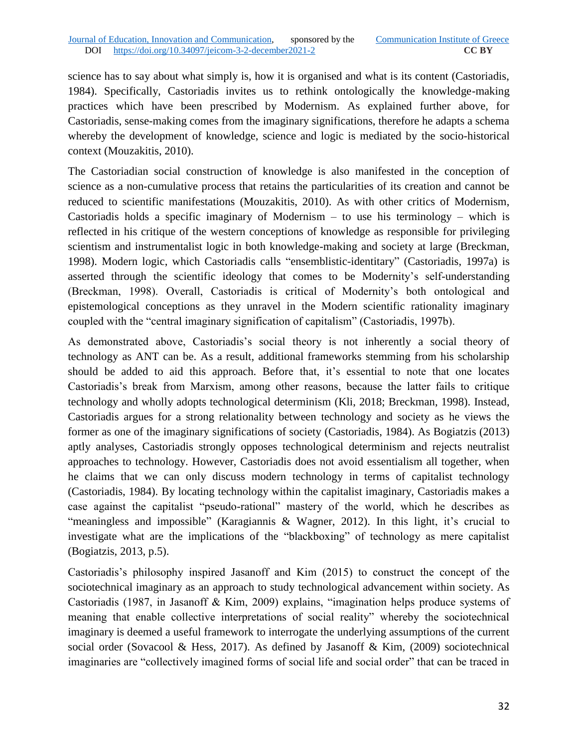science has to say about what simply is, how it is organised and what is its content (Castoriadis, 1984). Specifically, Castoriadis invites us to rethink ontologically the knowledge-making practices which have been prescribed by Modernism. As explained further above, for Castoriadis, sense-making comes from the imaginary significations, therefore he adapts a schema whereby the development of knowledge, science and logic is mediated by the socio-historical context (Mouzakitis, 2010).

The Castoriadian social construction of knowledge is also manifested in the conception of science as a non-cumulative process that retains the particularities of its creation and cannot be reduced to scientific manifestations (Mouzakitis, 2010). As with other critics of Modernism, Castoriadis holds a specific imaginary of Modernism  $-$  to use his terminology  $-$  which is reflected in his critique of the western conceptions of knowledge as responsible for privileging scientism and instrumentalist logic in both knowledge-making and society at large (Breckman, 1998). Modern logic, which Castoriadis calls "ensemblistic-identitary" (Castoriadis, 1997a) is asserted through the scientific ideology that comes to be Modernity's self-understanding (Breckman, 1998). Overall, Castoriadis is critical of Modernity's both ontological and epistemological conceptions as they unravel in the Modern scientific rationality imaginary coupled with the "central imaginary signification of capitalism" (Castoriadis, 1997b).

As demonstrated above, Castoriadis's social theory is not inherently a social theory of technology as ANT can be. As a result, additional frameworks stemming from his scholarship should be added to aid this approach. Before that, it's essential to note that one locates Castoriadis's break from Marxism, among other reasons, because the latter fails to critique technology and wholly adopts technological determinism (Kli, 2018; Breckman, 1998). Instead, Castoriadis argues for a strong relationality between technology and society as he views the former as one of the imaginary significations of society (Castoriadis, 1984). As Bogiatzis (2013) aptly analyses, Castoriadis strongly opposes technological determinism and rejects neutralist approaches to technology. However, Castoriadis does not avoid essentialism all together, when he claims that we can only discuss modern technology in terms of capitalist technology (Castoriadis, 1984). By locating technology within the capitalist imaginary, Castoriadis makes a case against the capitalist "pseudo-rational" mastery of the world, which he describes as "meaningless and impossible" (Karagiannis & Wagner, 2012). In this light, it's crucial to investigate what are the implications of the "blackboxing" of technology as mere capitalist (Bogiatzis, 2013, p.5).

Castoriadis's philosophy inspired Jasanoff and Kim (2015) to construct the concept of the sociotechnical imaginary as an approach to study technological advancement within society. As Castoriadis (1987, in Jasanoff & Kim, 2009) explains, "imagination helps produce systems of meaning that enable collective interpretations of social reality" whereby the sociotechnical imaginary is deemed a useful framework to interrogate the underlying assumptions of the current social order (Sovacool & Hess, 2017). As defined by Jasanoff & Kim, (2009) sociotechnical imaginaries are "collectively imagined forms of social life and social order" that can be traced in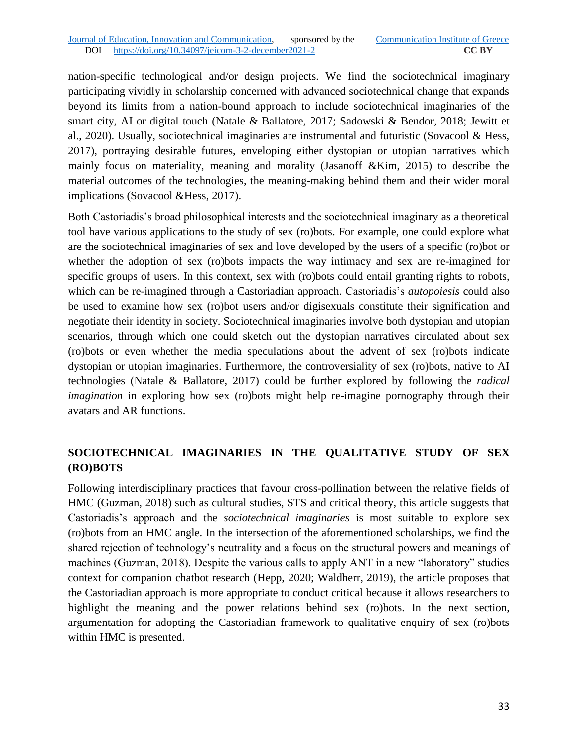nation-specific technological and/or design projects. We find the sociotechnical imaginary participating vividly in scholarship concerned with advanced sociotechnical change that expands beyond its limits from a nation-bound approach to include sociotechnical imaginaries of the smart city, AI or digital touch (Natale & Ballatore, 2017; Sadowski & Bendor, 2018; Jewitt et al., 2020). Usually, sociotechnical imaginaries are instrumental and futuristic (Sovacool & Hess, 2017), portraying desirable futures, enveloping either dystopian or utopian narratives which mainly focus on materiality, meaning and morality (Jasanoff &Kim, 2015) to describe the material outcomes of the technologies, the meaning-making behind them and their wider moral implications (Sovacool &Hess, 2017).

Both Castoriadis's broad philosophical interests and the sociotechnical imaginary as a theoretical tool have various applications to the study of sex (ro)bots. For example, one could explore what are the sociotechnical imaginaries of sex and love developed by the users of a specific (ro)bot or whether the adoption of sex (ro)bots impacts the way intimacy and sex are re-imagined for specific groups of users. In this context, sex with (ro)bots could entail granting rights to robots, which can be re-imagined through a Castoriadian approach. Castoriadis's *autopoiesis* could also be used to examine how sex (ro)bot users and/or digisexuals constitute their signification and negotiate their identity in society. Sociotechnical imaginaries involve both dystopian and utopian scenarios, through which one could sketch out the dystopian narratives circulated about sex (ro)bots or even whether the media speculations about the advent of sex (ro)bots indicate dystopian or utopian imaginaries. Furthermore, the controversiality of sex (ro)bots, native to AI technologies (Natale & Ballatore, 2017) could be further explored by following the *radical imagination* in exploring how sex (ro)bots might help re-imagine pornography through their avatars and AR functions.

## **SOCIOTECHNICAL IMAGINARIES IN THE QUALITATIVE STUDY OF SEX (RO)BOTS**

Following interdisciplinary practices that favour cross-pollination between the relative fields of HMC (Guzman, 2018) such as cultural studies, STS and critical theory, this article suggests that Castoriadis's approach and the *sociotechnical imaginaries* is most suitable to explore sex (ro)bots from an HMC angle. In the intersection of the aforementioned scholarships, we find the shared rejection of technology's neutrality and a focus on the structural powers and meanings of machines (Guzman, 2018). Despite the various calls to apply ANT in a new "laboratory" studies context for companion chatbot research (Hepp, 2020; Waldherr, 2019), the article proposes that the Castoriadian approach is more appropriate to conduct critical because it allows researchers to highlight the meaning and the power relations behind sex (ro)bots. In the next section, argumentation for adopting the Castoriadian framework to qualitative enquiry of sex (ro)bots within HMC is presented.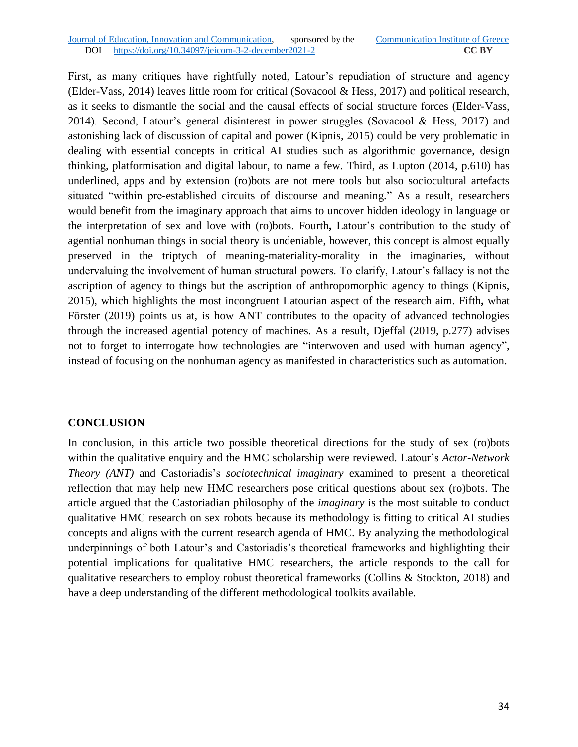#### Journal of Education, Innovation and Communication, sponsored by the Communication Institute of Greece DOI https://doi.org/10.34097/jeicom-3-2-december2021-2 **CC BY**

First, as many critiques have rightfully noted, Latour's repudiation of structure and agency (Elder-Vass, 2014) leaves little room for critical (Sovacool & Hess, 2017) and political research, as it seeks to dismantle the social and the causal effects of social structure forces (Elder-Vass, 2014). Second, Latour's general disinterest in power struggles (Sovacool & Hess, 2017) and astonishing lack of discussion of capital and power (Kipnis, 2015) could be very problematic in dealing with essential concepts in critical AI studies such as algorithmic governance, design thinking, platformisation and digital labour, to name a few. Third, as Lupton (2014, p.610) has underlined, apps and by extension (ro)bots are not mere tools but also sociocultural artefacts situated "within pre-established circuits of discourse and meaning." As a result, researchers would benefit from the imaginary approach that aims to uncover hidden ideology in language or the interpretation of sex and love with (ro)bots. Fourth**,** Latour's contribution to the study of agential nonhuman things in social theory is undeniable, however, this concept is almost equally preserved in the triptych of meaning-materiality-morality in the imaginaries, without undervaluing the involvement of human structural powers. To clarify, Latour's fallacy is not the ascription of agency to things but the ascription of anthropomorphic agency to things (Kipnis, 2015), which highlights the most incongruent Latourian aspect of the research aim. Fifth**,** what Förster (2019) points us at, is how ANT contributes to the opacity of advanced technologies through the increased agential potency of machines. As a result, Djeffal (2019, p.277) advises not to forget to interrogate how technologies are "interwoven and used with human agency", instead of focusing on the nonhuman agency as manifested in characteristics such as automation.

#### **CONCLUSION**

In conclusion, in this article two possible theoretical directions for the study of sex (ro)bots within the qualitative enquiry and the HMC scholarship were reviewed. Latour's *Actor-Network Theory (ANT)* and Castoriadis's *sociotechnical imaginary* examined to present a theoretical reflection that may help new HMC researchers pose critical questions about sex (ro)bots. The article argued that the Castoriadian philosophy of the *imaginary* is the most suitable to conduct qualitative HMC research on sex robots because its methodology is fitting to critical AI studies concepts and aligns with the current research agenda of HMC. By analyzing the methodological underpinnings of both Latour's and Castoriadis's theoretical frameworks and highlighting their potential implications for qualitative HMC researchers, the article responds to the call for qualitative researchers to employ robust theoretical frameworks (Collins & Stockton, 2018) and have a deep understanding of the different methodological toolkits available.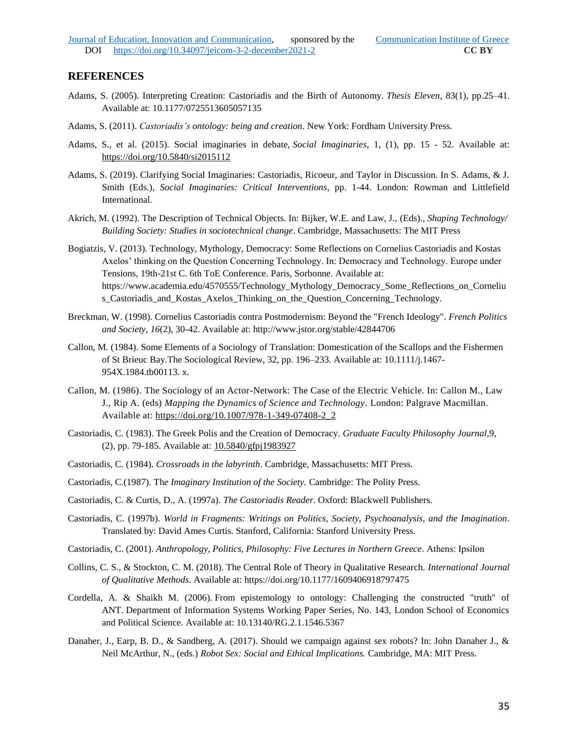#### **REFERENCES**

- Adams, S. (2005). Interpreting Creation: Castoriadis and the Birth of Autonomy. *Thesis Eleven*, 83(1), pp.25–41. Available at: 10.1177/0725513605057135
- Adams, S. (2011). *Castoriadis's ontology: being and creation*. New York: Fordham University Press.
- Adams, S., et al. (2015). Social imaginaries in debate, *Social Imaginaries*, 1, (1), pp. 15 52. Available at: <https://doi.org/10.5840/si2015112>
- Adams, S. (2019). Clarifying Social Imaginaries: Castoriadis, Ricoeur, and Taylor in Discussion. In S. Adams, & J. Smith (Eds.), *Social Imaginaries: Critical Interventions*, pp. 1-44. London: Rowman and Littlefield International.
- Akrich, M. (1992). The Description of Technical Objects. In: Bijker, W.E. and Law, J., (Eds)., *Shaping Technology/ Building Society: Studies in sociotechnical change*. Cambridge, Massachusetts: The MIT Press
- Bogiatzis, V. (2013). Technology, Mythology, Democracy: Some Reflections on Cornelius Castoriadis and Kostas Axelos' thinking on the Question Concerning Technology. In: Democracy and Technology. Europe under Tensions, 19th-21st C. 6th ToE Conference. Paris, Sorbonne. Available at: https://www.academia.edu/4570555/Technology\_Mythology\_Democracy\_Some\_Reflections\_on\_Corneliu s\_Castoriadis\_and\_Kostas\_Axelos\_Thinking\_on\_the\_Question\_Concerning\_Technology.
- Breckman, W. (1998). Cornelius Castoriadis contra Postmodernism: Beyond the "French Ideology". *French Politics and Society, 16*(2), 30-42. Available at:<http://www.jstor.org/stable/42844706>
- Callon, M. (1984). Some Elements of a Sociology of Translation: Domestication of the Scallops and the Fishermen of St Brieuc Bay.The Sociological Review, 32, pp. 196–233. Available at: 10.1111/j.1467- 954X.1984.tb00113. x.
- Callon, M. (1986). The Sociology of an Actor-Network: The Case of the Electric Vehicle. In: Callon M., Law J., Rip A. (eds) *Mapping the Dynamics of Science and Technology*. London: Palgrave Macmillan. Available at: [https://doi.org/10.1007/978-1-349-07408-2\\_2](https://doi.org/10.1007/978-1-349-07408-2_2)
- Castoriadis, C. (1983). The Greek Polis and the Creation of Democracy. *Graduate Faculty Philosophy Journal,*9, (2), pp. 79-185. Available at: [10.5840/gfpj1983927](https://philpapers.org/go.pl?id=CASTGP&proxyId=&u=http%3A%2F%2Fdx.doi.org%2F10.5840%2Fgfpj1983927)
- Castoriadis, C. (1984). *Crossroads in the labyrinth*. Cambridge, Massachusetts: MIT Press.
- Castoriadis, C.(1987). Th*e Imaginary Institution of the Society.* Cambridge: The Polity Press.
- Castoriadis, C. & Curtis, D., A. (1997a). *The Castoriadis Reader*. Oxford: Blackwell Publishers.
- Castoriadis, C. (1997b). *World in Fragments: Writings on Politics, Society, Psychoanalysis, and the Imagination*. Translated by: David Ames Curtis. Stanford, California: Stanford University Press.
- Castoriadis, C. (2001). *Anthropology, Politics, Philosophy: Five Lectures in Northern Greece*. Athens: Ιpsilon
- Collins, C. S., & Stockton, C. M. (2018). The Central Role of Theory in Qualitative Research. *International Journal of Qualitative Methods*. Available at: https://doi.org/10.1177/1609406918797475
- Cordella, A. & Shaikh M. (2006). From epistemology to ontology: Challenging the constructed "truth" of ANT. Department of Information Systems Working Paper Series, No. 143, London School of Economics and Political Science. Available at: 10.13140/RG.2.1.1546.5367
- Danaher, J., Earp, B. D., & Sandberg, A. (2017). Should we campaign against sex robots? In: John Danaher J., & Neil McArthur, N., (eds.) *Robot Sex: Social and Ethical Implications.* Cambridge, MA: MIT Press.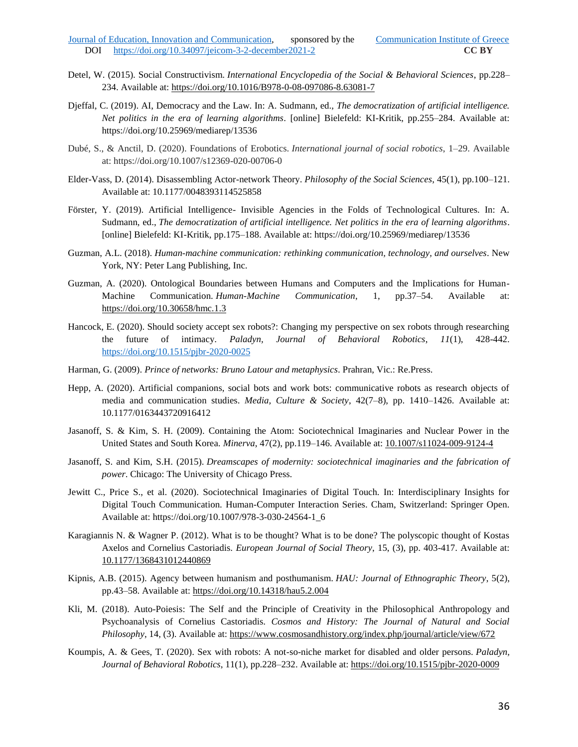- Detel, W. (2015). Social Constructivism. *International Encyclopedia of the Social & Behavioral Sciences*, pp.228– 234. Available at:<https://doi.org/10.1016/B978-0-08-097086-8.63081-7>
- Djeffal, C. (2019). AI, Democracy and the Law. In: A. Sudmann, ed., *The democratization of artificial intelligence. Net politics in the era of learning algorithms*. [online] Bielefeld: KI-Kritik, pp.255–284. Available at: https://doi.org/10.25969/mediarep/13536
- Dubé, S., & Anctil, D. (2020). Foundations of Erobotics. *International journal of social robotics*, 1–29. Available at: https://doi.org/10.1007/s12369-020-00706-0
- Elder-Vass, D. (2014). Disassembling Actor-network Theory. *Philosophy of the Social Sciences*, 45(1), pp.100–121. Available at: 10.1177/0048393114525858
- Förster, Y. (2019). Artificial Intelligence- Invisible Agencies in the Folds of Technological Cultures. In: A. Sudmann, ed., *The democratization of artificial intelligence. Net politics in the era of learning algorithms*. [online] Bielefeld: KI-Kritik, pp.175–188. Available at: https://doi.org/10.25969/mediarep/13536
- Guzman, A.L. (2018). *Human-machine communication: rethinking communication, technology, and ourselves*. New York, NY: Peter Lang Publishing, Inc.
- Guzman, A. (2020). Ontological Boundaries between Humans and Computers and the Implications for Human-Machine Communication. *Human-Machine Communication*, 1, pp.37–54. Available at: <https://doi.org/10.30658/hmc.1.3>
- Hancock, E. (2020). Should society accept sex robots?: Changing my perspective on sex robots through researching the future of intimacy. *Paladyn, Journal of Behavioral Robotics*, *11*(1), 428-442. <https://doi.org/10.1515/pjbr-2020-0025>
- Harman, G. (2009). *Prince of networks: Bruno Latour and metaphysics*. Prahran, Vic.: Re.Press.
- Hepp, A. (2020). Artificial companions, social bots and work bots: communicative robots as research objects of media and communication studies. *Media, Culture & Society*, 42(7–8), pp. 1410–1426. Available at: 10.1177/0163443720916412
- Jasanoff, S. & Kim, S. H. (2009). Containing the Atom: Sociotechnical Imaginaries and Nuclear Power in the United States and South Korea. *Minerva*, 47(2), pp.119–146. Available at: [10.1007/s11024-009-9124-4](https://doi.org/10.1007/s11024-009-9124-4)
- Jasanoff, S. and Kim, S.H. (2015). *Dreamscapes of modernity: sociotechnical imaginaries and the fabrication of power*. Chicago: The University of Chicago Press.
- Jewitt C., Price S., et al. (2020). Sociotechnical Imaginaries of Digital Touch. In: Interdisciplinary Insights for Digital Touch Communication. Human-Computer Interaction Series. Cham, Switzerland: Springer Open. Available at: [https://doi.org/10.1007/978-3-030-24564-1\\_6](https://doi.org/10.1007/978-3-030-24564-1_6)
- Karagiannis N. & Wagner P. (2012). What is to be thought? What is to be done? The polyscopic thought of Kostas Axelos and Cornelius Castoriadis. *European Journal of Social Theory*, 15, (3), pp. 403-417. Available at: [10.1177/1368431012440869](https://philpapers.org/go.pl?id=WAGWIT&proxyId=&u=http%3A%2F%2Fdx.doi.org%2F10.1177%2F1368431012440869)
- Kipnis, A.B. (2015). Agency between humanism and posthumanism. *HAU: Journal of Ethnographic Theory*, 5(2), pp.43–58. Available at:<https://doi.org/10.14318/hau5.2.004>
- Kli, M. (2018). Auto-Poiesis: The Self and the Principle of Creativity in the Philosophical Anthropology and Psychoanalysis of Cornelius Castoriadis. *Cosmos and History: The Journal of Natural and Social Philosophy*, 14, (3). Available at:<https://www.cosmosandhistory.org/index.php/journal/article/view/672>
- Koumpis, A. & Gees, T. (2020). Sex with robots: A not-so-niche market for disabled and older persons. *Paladyn, Journal of Behavioral Robotics*, 11(1), pp.228–232. Available at:<https://doi.org/10.1515/pjbr-2020-0009>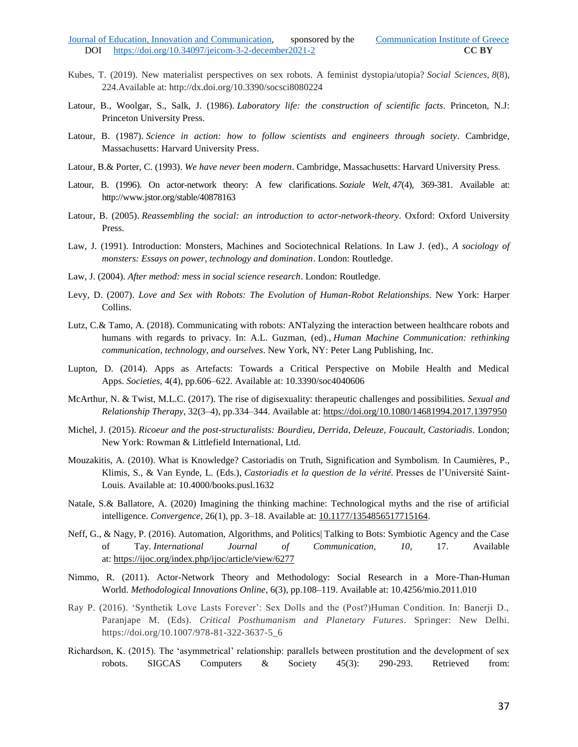- Kubes, T. (2019). New materialist perspectives on sex robots. A feminist dystopia/utopia? *Social Sciences*, *8*(8), 224.Available at: http://dx.doi.org/10.3390/socsci8080224
- Latour, B., Woolgar, S., Salk, J. (1986). *Laboratory life: the construction of scientific facts*. Princeton, N.J: Princeton University Press.
- Latour, B. (1987). *Science in action: how to follow scientists and engineers through society*. Cambridge, Massachusetts: Harvard University Press.
- Latour, B.& Porter, C. (1993). *We have never been modern*. Cambridge, Massachusetts: Harvard University Press.
- Latour, B. (1996). On actor-network theory: A few clarifications. *Soziale Welt, 47*(4), 369-381. Available at: http://www.jstor.org/stable/40878163
- Latour, B. (2005). *Reassembling the social: an introduction to actor-network-theory*. Oxford: Oxford University Press.
- Law, J. (1991). Introduction: Monsters, Machines and Sociotechnical Relations. In Law J. (ed)., *A sociology of monsters: Essays on power, technology and domination*. London: Routledge.
- Law, J. (2004). *After method: mess in social science research*. London: Routledge.
- Levy, D. (2007). *Love and Sex with Robots: The Evolution of Human-Robot Relationships*. New York: Harper Collins.
- Lutz, C.& Tamo, A. (2018). Communicating with robots: ANTalyzing the interaction between healthcare robots and humans with regards to privacy. In: A.L. Guzman, (ed)., *Human Machine Communication: rethinking communication, technology, and ourselves*. New York, NY: Peter Lang Publishing, Inc.
- Lupton, D. (2014). Apps as Artefacts: Towards a Critical Perspective on Mobile Health and Medical Apps. *Societies*, 4(4), pp.606–622. Available at: 10.3390/soc4040606
- McArthur, N. & Twist, M.L.C. (2017). The rise of digisexuality: therapeutic challenges and possibilities. *Sexual and Relationship Therapy*, 32(3–4), pp.334–344. Available at:<https://doi.org/10.1080/14681994.2017.1397950>
- Michel, J. (2015). *Ricoeur and the post-structuralists: Bourdieu, Derrida, Deleuze, Foucault, Castoriadis*. London; New York: Rowman & Littlefield International, Ltd.
- Mouzakitis, A. (2010). What is Knowledge? Castoriadis on Truth, Signification and Symbolism. In Caumières, P., Klimis, S., & Van Eynde, L. (Eds.), *Castoriadis et la question de la vérité*. Presses de l'Université Saint-Louis. Available at: 10.4000/books.pusl.1632
- Natale, S.& Ballatore, A. (2020) Imagining the thinking machine: Technological myths and the rise of artificial intelligence. *Convergence*, 26(1), pp. 3–18. Available at: [10.1177/1354856517715164.](https://doi.org/10.1177/1354856517715164)
- Neff, G., & Nagy, P. (2016). Automation, Algorithms, and Politics| Talking to Bots: Symbiotic Agency and the Case of Tay. *International Journal of Communication, 10*, 17. Available at: <https://ijoc.org/index.php/ijoc/article/view/6277>
- Nimmo, R. (2011). Actor-Network Theory and Methodology: Social Research in a More-Than-Human World. *Methodological Innovations Online*, 6(3), pp.108–119. Available at: 10.4256/mio.2011.010
- Ray P. (2016). 'Synthetik Love Lasts Forever': Sex Dolls and the (Post?)Human Condition. In: Banerji D., Paranjape M. (Eds). *Critical Posthumanism and Planetary Futures*. Springer: New Delhi. https://doi.org/10.1007/978-81-322-3637-5\_6
- Richardson, K. (2015). The 'asymmetrical' relationship: parallels between prostitution and the development of sex robots. SIGCAS Computers & Society 45(3): 290-293. Retrieved from: